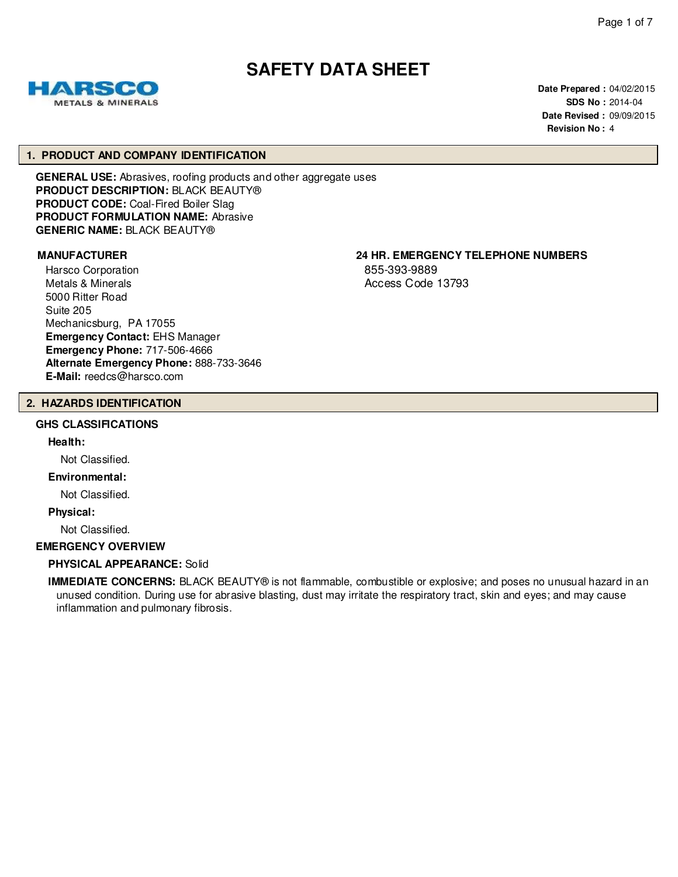# **SAFETY DATA SHEET**

**Date Prepared :** 04/02/2015 **SDS No :** 2014-04 **Date Revised :** 09/09/2015 **Revision No :** 4

#### **1. PRODUCT AND COMPANY IDENTIFICATION**

**GENERAL USE:** Abrasives, roofing products and other aggregate uses **PRODUCT DESCRIPTION:** BLACK BEAUTY® **PRODUCT CODE:** Coal-Fired Boiler Slag **PRODUCT FORMULATION NAME:** Abrasive **GENERIC NAME:** BLACK BEAUTY®

Harsco Corporation Metals & Minerals 5000 Ritter Road Suite 205 Mechanicsburg, PA 17055 **Emergency Contact:** EHS Manager **Emergency Phone:** 717-506-4666 **Alternate Emergency Phone:** 888-733-3646 **E-Mail:** reedcs@harsco.com

# **MANUFACTURER 24 HR. EMERGENCY TELEPHONE NUMBERS**

855-393-9889 Access Code 13793

#### **2. HAZARDS IDENTIFICATION**

#### **GHS CLASSIFICATIONS**

**Health:**

Not Classified.

#### **Environmental:**

Not Classified.

**Physical:**

Not Classified.

#### **EMERGENCY OVERVIEW**

#### **PHYSICAL APPEARANCE:** Solid

**IMMEDIATE CONCERNS:** BLACK BEAUTY® is not flammable, combustible or explosive; and poses no unusual hazard in an unused condition. During use for abrasive blasting, dust may irritate the respiratory tract, skin and eyes; and may cause inflammation and pulmonary fibrosis.

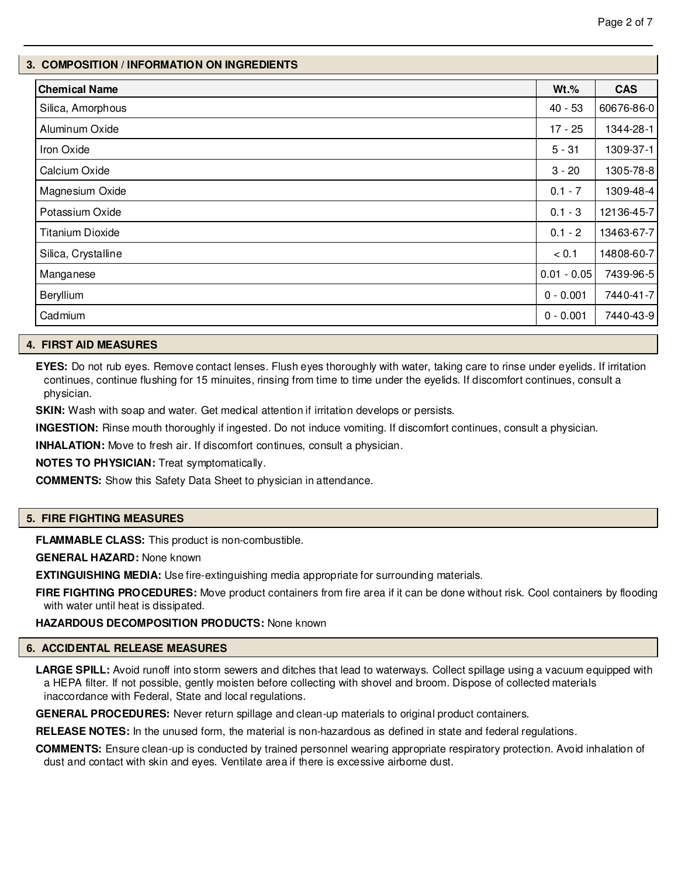# **3. COMPOSITION / INFORMATION ON INGREDIENTS**

| <b>Chemical Name</b>    | $Wt.\%$       | <b>CAS</b> |
|-------------------------|---------------|------------|
| Silica, Amorphous       | $40 - 53$     | 60676-86-0 |
| Aluminum Oxide          | $17 - 25$     | 1344-28-1  |
| Iron Oxide              | $5 - 31$      | 1309-37-1  |
| Calcium Oxide           | $3 - 20$      | 1305-78-8  |
| Magnesium Oxide         | $0.1 - 7$     | 1309-48-4  |
| Potassium Oxide         | $0.1 - 3$     | 12136-45-7 |
| <b>Titanium Dioxide</b> | $0.1 - 2$     | 13463-67-7 |
| Silica, Crystalline     | < 0.1         | 14808-60-7 |
| Manganese               | $0.01 - 0.05$ | 7439-96-5  |
| Beryllium               | $0 - 0.001$   | 7440-41-7  |
| Cadmium                 | $0 - 0.001$   | 7440-43-9  |

# **4. FIRST AID MEASURES**

**EYES:** Do not rub eyes. Remove contact lenses. Flush eyes thoroughly with water, taking care to rinse under eyelids. If irritation continues, continue flushing for 15 minuites, rinsing from time to time under the eyelids. If discomfort continues, consult a physician.

**SKIN:** Wash with soap and water. Get medical attention if irritation develops or persists.

**INGESTION:** Rinse mouth thoroughly if ingested. Do not induce vomiting. If discomfort continues, consult a physician.

**INHALATION:** Move to fresh air. If discomfort continues, consult a physician.

**NOTES TO PHYSICIAN:** Treat symptomatically.

**COMMENTS:** Show this Safety Data Sheet to physician in attendance.

# **5. FIRE FIGHTING MEASURES**

**FLAMMABLE CLASS:** This product is non-combustible.

**GENERAL HAZARD:** None known

**EXTINGUISHING MEDIA:** Use fire-extinguishing media appropriate for surrounding materials.

**FIRE FIGHTING PROCEDURES:** Move product containers from fire area if it can be done without risk. Cool containers by flooding with water until heat is dissipated.

# **HAZARDOUS DECOMPOSITION PRODUCTS:** None known

#### **6. ACCIDENTAL RELEASE MEASURES**

LARGE SPILL: Avoid runoff into storm sewers and ditches that lead to waterways. Collect spillage using a vacuum equipped with a HEPA filter. If not possible, gently moisten before collecting with shovel and broom. Dispose of collected materials inaccordance with Federal, State and local regulations.

**GENERAL PROCEDURES:** Never return spillage and clean-up materials to original product containers.

**RELEASE NOTES:** In the unused form, the material is non-hazardous as defined in state and federal regulations.

**COMMENTS:** Ensure clean-up is conducted by trained personnel wearing appropriate respiratory protection. Avoid inhalation of dust and contact with skin and eyes. Ventilate area if there is excessive airborne dust.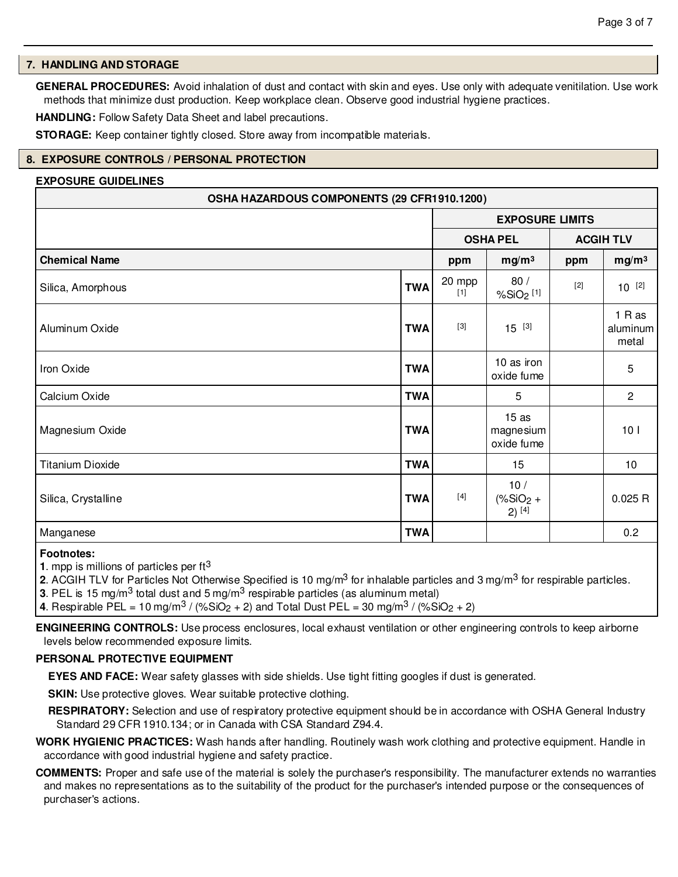# **7. HANDLING AND STORAGE**

**GENERAL PROCEDURES:** Avoid inhalation of dust and contact with skin and eyes. Use only with adequate venitilation. Use work methods that minimize dust production. Keep workplace clean. Observe good industrial hygiene practices.

**HANDLING:** Follow Safety Data Sheet and label precautions.

**STORAGE:** Keep container tightly closed. Store away from incompatible materials.

# **8. EXPOSURE CONTROLS / PERSONAL PROTECTION**

#### **EXPOSURE GUIDELINES**

| OSHA HAZARDOUS COMPONENTS (29 CFR1910.1200) |            |                                                                                                                                                                                                              |                                 |       |                             |
|---------------------------------------------|------------|--------------------------------------------------------------------------------------------------------------------------------------------------------------------------------------------------------------|---------------------------------|-------|-----------------------------|
|                                             |            | <b>EXPOSURE LIMITS</b>                                                                                                                                                                                       |                                 |       |                             |
|                                             |            | <b>OSHA PEL</b><br><b>ACGIH TLV</b>                                                                                                                                                                          |                                 |       |                             |
| <b>Chemical Name</b>                        |            | ppm                                                                                                                                                                                                          | mg/m <sup>3</sup>               | ppm   | mg/m <sup>3</sup>           |
| Silica, Amorphous                           | <b>TWA</b> | 20 mpp<br>$[1]$                                                                                                                                                                                              | 80/<br>%SiO <sub>2</sub> [1]    | $[2]$ | $10^{[2]}$                  |
| Aluminum Oxide                              | <b>TWA</b> | $[3]$                                                                                                                                                                                                        | $15^{[3]}$                      |       | 1 R as<br>aluminum<br>metal |
| Iron Oxide                                  | <b>TWA</b> |                                                                                                                                                                                                              | 10 as iron<br>oxide fume        |       | 5                           |
| Calcium Oxide                               | <b>TWA</b> |                                                                                                                                                                                                              | 5                               |       | $\mathbf{2}$                |
| Magnesium Oxide                             | <b>TWA</b> |                                                                                                                                                                                                              | 15as<br>magnesium<br>oxide fume |       | 10 <sub>l</sub>             |
| <b>Titanium Dioxide</b>                     | <b>TWA</b> |                                                                                                                                                                                                              | 15                              |       | 10                          |
| Silica, Crystalline                         | <b>TWA</b> | $[4] % \begin{center} \includegraphics[width=\linewidth]{imagesSupplemental/Imh} \end{center} % \vspace*{-1em} \caption{The image shows the number of parameters in the left and right.} \label{fig:limsub}$ | 10/<br>$(*SiO2 +$<br>$2)$ [4]   |       | 0.025 R                     |
| Manganese                                   | <b>TWA</b> |                                                                                                                                                                                                              |                                 |       | 0.2                         |

#### **Footnotes:**

**1**. mpp is millions of particles per ft3

**2**. ACGIH TLV for Particles Not Otherwise Specified is 10 mg/m3 for inhalable particles and 3 mg/m3 for respirable particles.

**3**. PEL is 15 mg/m3 total dust and 5 mg/m3 respirable particles (as aluminum metal)

**4**. Respirable PEL = 10 mg/m<sup>3</sup> / (%SiO<sub>2</sub> + 2) and Total Dust PEL = 30 mg/m<sup>3</sup> / (%SiO<sub>2</sub> + 2)

**ENGINEERING CONTROLS:** Use process enclosures, local exhaust ventilation or other engineering controls to keep airborne levels below recommended exposure limits.

# **PERSONAL PROTECTIVE EQUIPMENT**

**EYES AND FACE:** Wear safety glasses with side shields. Use tight fitting googles if dust is generated.

**SKIN:** Use protective gloves. Wear suitable protective clothing.

**RESPIRATORY:** Selection and use of respiratory protective equipment should be in accordance with OSHA General Industry Standard 29 CFR 1910.134; or in Canada with CSA Standard Z94.4.

- **WORK HYGIENIC PRACTICES:** Wash hands after handling. Routinely wash work clothing and protective equipment. Handle in accordance with good industrial hygiene and safety practice.
- **COMMENTS:** Proper and safe use of the material is solely the purchaser's responsibility. The manufacturer extends no warranties and makes no representations as to the suitability of the product for the purchaser's intended purpose or the consequences of purchaser's actions.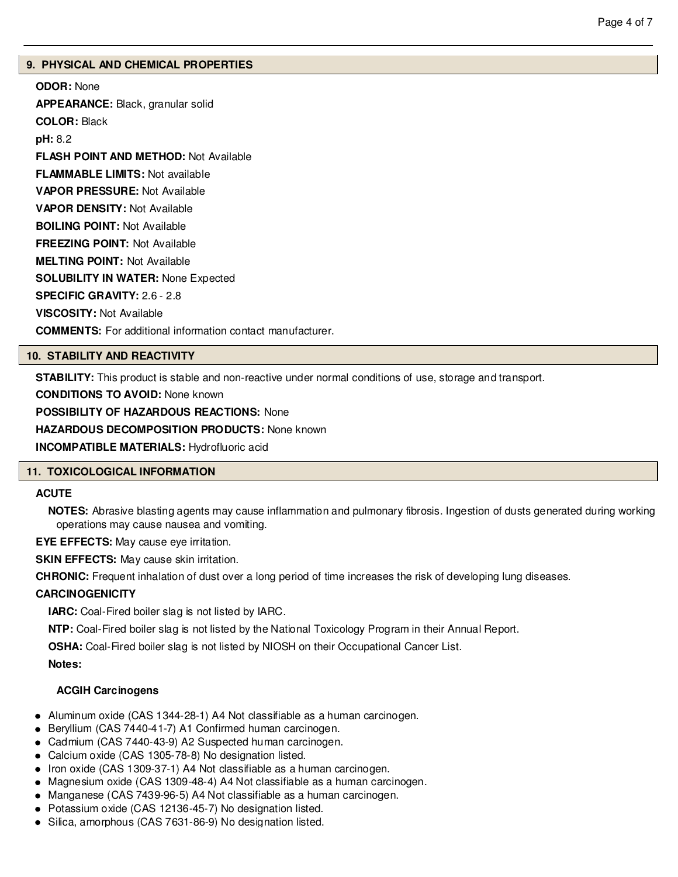# **9. PHYSICAL AND CHEMICAL PROPERTIES**

**ODOR:** None **APPEARANCE:** Black, granular solid **COLOR:** Black **pH:** 8.2 **FLASH POINT AND METHOD:** Not Available **FLAMMABLE LIMITS:** Not available **VAPOR PRESSURE:** Not Available **VAPOR DENSITY:** Not Available **BOILING POINT:** Not Available **FREEZING POINT:** Not Available **MELTING POINT:** Not Available **SOLUBILITY IN WATER:** None Expected **SPECIFIC GRAVITY:** 2.6 - 2.8 **VISCOSITY:** Not Available **COMMENTS:** For additional information contact manufacturer.

# **10. STABILITY AND REACTIVITY**

**STABILITY:** This product is stable and non-reactive under normal conditions of use, storage and transport.

**CONDITIONS TO AVOID:** None known

**POSSIBILITY OF HAZARDOUS REACTIONS:** None

**HAZARDOUS DECOMPOSITION PRODUCTS:** None known

**INCOMPATIBLE MATERIALS:** Hydrofluoric acid

# **11. TOXICOLOGICAL INFORMATION**

# **ACUTE**

**NOTES:** Abrasive blasting agents may cause inflammation and pulmonary fibrosis. Ingestion of dusts generated during working operations may cause nausea and vomiting.

**EYE EFFECTS:** May cause eye irritation.

**SKIN EFFECTS:** May cause skin irritation.

**CHRONIC:** Frequent inhalation of dust over a long period of time increases the risk of developing lung diseases.

# **CARCINOGENICITY**

**IARC:** Coal-Fired boiler slag is not listed by IARC.

**NTP:** Coal-Fired boiler slag is not listed by the National Toxicology Program in their Annual Report.

**OSHA:** Coal-Fired boiler slag is not listed by NIOSH on their Occupational Cancer List.

**Notes:**

# **ACGIH Carcinogens**

- Aluminum oxide (CAS 1344-28-1) A4 Not classifiable as a human carcinogen.
- Beryllium (CAS 7440-41-7) A1 Confirmed human carcinogen.
- Cadmium (CAS 7440-43-9) A2 Suspected human carcinogen.
- Calcium oxide (CAS 1305-78-8) No designation listed.
- Iron oxide (CAS 1309-37-1) A4 Not classifiable as a human carcinogen.
- Magnesium oxide (CAS 1309-48-4) A4 Not classifiable as a human carcinogen.
- Manganese (CAS 7439-96-5) A4 Not classifiable as a human carcinogen.
- Potassium oxide (CAS 12136-45-7) No designation listed.
- Silica, amorphous (CAS 7631-86-9) No designation listed.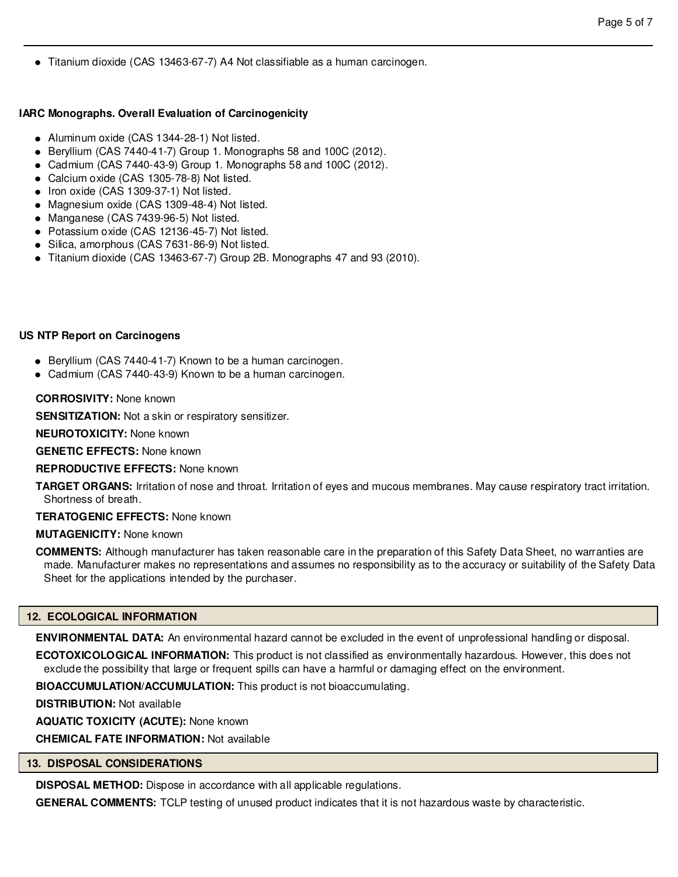Titanium dioxide (CAS 13463-67-7) A4 Not classifiable as a human carcinogen.

# **IARC Monographs. Overall Evaluation of Carcinogenicity**

- Aluminum oxide (CAS 1344-28-1) Not listed.
- Beryllium (CAS 7440-41-7) Group 1. Monographs 58 and 100C (2012).
- Cadmium (CAS 7440-43-9) Group 1. Monographs 58 and 100C (2012).
- Calcium oxide (CAS 1305-78-8) Not listed.
- Iron oxide (CAS 1309-37-1) Not listed.
- Magnesium oxide (CAS 1309-48-4) Not listed.
- Manganese (CAS 7439-96-5) Not listed.
- Potassium oxide (CAS 12136-45-7) Not listed.
- Silica, amorphous (CAS 7631-86-9) Not listed.
- Titanium dioxide (CAS 13463-67-7) Group 2B. Monographs 47 and 93 (2010).

# **US NTP Report on Carcinogens**

- Beryllium (CAS 7440-41-7) Known to be a human carcinogen.
- Cadmium (CAS 7440-43-9) Known to be a human carcinogen.

# **CORROSIVITY:** None known

**SENSITIZATION:** Not a skin or respiratory sensitizer.

**NEUROTOXICITY:** None known

**GENETIC EFFECTS:** None known

**REPRODUCTIVE EFFECTS:** None known

**TARGET ORGANS:** Irritation of nose and throat. Irritation of eyes and mucous membranes. May cause respiratory tract irritation. Shortness of breath.

**TERATOGENIC EFFECTS:** None known

# **MUTAGENICITY:** None known

**COMMENTS:** Although manufacturer has taken reasonable care in the preparation of this Safety Data Sheet, no warranties are made. Manufacturer makes no representations and assumes no responsibility as to the accuracy or suitability of the Safety Data Sheet for the applications intended by the purchaser.

# **12. ECOLOGICAL INFORMATION**

**ENVIRONMENTAL DATA:** An environmental hazard cannot be excluded in the event of unprofessional handling or disposal.

**ECOTOXICOLOGICAL INFORMATION:** This product is not classified as environmentally hazardous. However, this does not exclude the possibility that large or frequent spills can have a harmful or damaging effect on the environment.

**BIOACCUMULATION/ACCUMULATION:** This product is not bioaccumulating.

**DISTRIBUTION:** Not available

**AQUATIC TOXICITY (ACUTE):** None known

**CHEMICAL FATE INFORMATION:** Not available

# **13. DISPOSAL CONSIDERATIONS**

**DISPOSAL METHOD:** Dispose in accordance with all applicable regulations.

**GENERAL COMMENTS:** TCLP testing of unused product indicates that it is not hazardous waste by characteristic.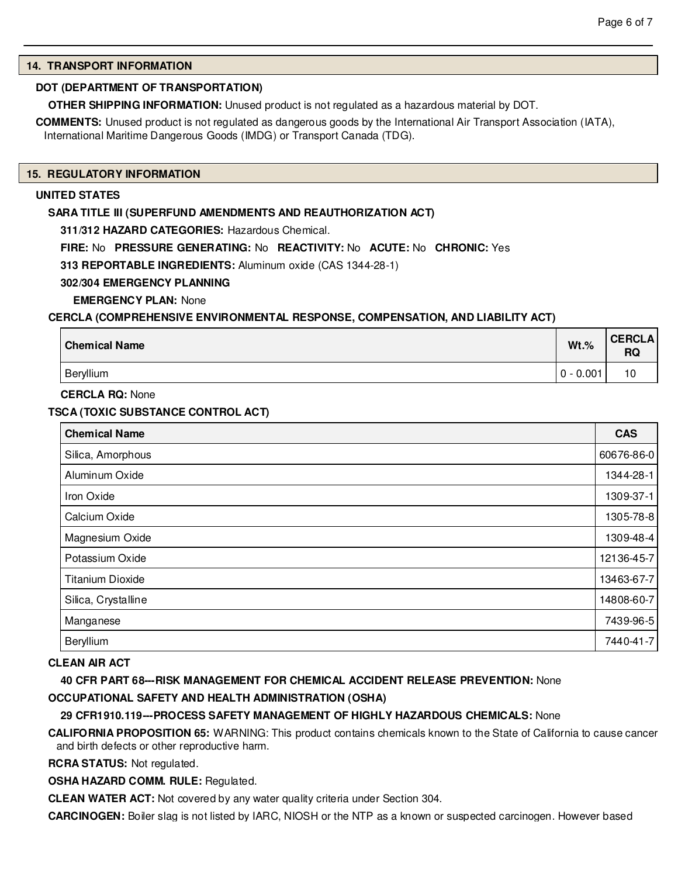# **14. TRANSPORT INFORMATION**

# **DOT (DEPARTMENT OF TRANSPORTATION)**

**OTHER SHIPPING INFORMATION:** Unused product is not regulated as a hazardous material by DOT.

**COMMENTS:** Unused product is not regulated as dangerous goods by the International Air Transport Association (IATA), International Maritime Dangerous Goods (IMDG) or Transport Canada (TDG).

#### **15. REGULATORY INFORMATION**

# **UNITED STATES**

#### **SARA TITLE III (SUPERFUND AMENDMENTS AND REAUTHORIZATION ACT)**

**311/312 HAZARD CATEGORIES:** Hazardous Chemical.

**FIRE:** No **PRESSURE GENERATING:** No **REACTIVITY:** No **ACUTE:** No **CHRONIC:** Yes

**313 REPORTABLE INGREDIENTS:** Aluminum oxide (CAS 1344-28-1)

# **302/304 EMERGENCY PLANNING**

**EMERGENCY PLAN:** None

#### **CERCLA (COMPREHENSIVE ENVIRONMENTAL RESPONSE, COMPENSATION, AND LIABILITY ACT)**

| <b>Chemical Name</b> | $Wt.$ %     | <b>CERCLA</b><br><b>RQ</b> |
|----------------------|-------------|----------------------------|
| Beryllium            | $0 - 0.001$ | 10                         |

**CERCLA RQ:** None

# **TSCA (TOXIC SUBSTANCE CONTROL ACT)**

| <b>Chemical Name</b>    | <b>CAS</b> |
|-------------------------|------------|
| Silica, Amorphous       | 60676-86-0 |
| Aluminum Oxide          | 1344-28-1  |
| Iron Oxide              | 1309-37-1  |
| Calcium Oxide           | 1305-78-8  |
| Magnesium Oxide         | 1309-48-4  |
| Potassium Oxide         | 12136-45-7 |
| <b>Titanium Dioxide</b> | 13463-67-7 |
| Silica, Crystalline     | 14808-60-7 |
| Manganese               | 7439-96-5  |
| Beryllium               | 7440-41-7  |

# **CLEAN AIR ACT**

**40 CFR PART 68---RISK MANAGEMENT FOR CHEMICAL ACCIDENT RELEASE PREVENTION:** None **OCCUPATIONAL SAFETY AND HEALTH ADMINISTRATION (OSHA)**

# **29 CFR1910.119---PROCESS SAFETY MANAGEMENT OF HIGHLY HAZARDOUS CHEMICALS:** None

**CALIFORNIA PROPOSITION 65:** WARNING: This product contains chemicals known to the State of California to cause cancer and birth defects or other reproductive harm.

**RCRA STATUS:** Not regulated.

**OSHA HAZARD COMM. RULE:** Regulated.

**CLEAN WATER ACT:** Not covered by any water quality criteria under Section 304.

**CARCINOGEN:** Boiler slag is not listed by IARC, NIOSH or the NTP as a known or suspected carcinogen. However based